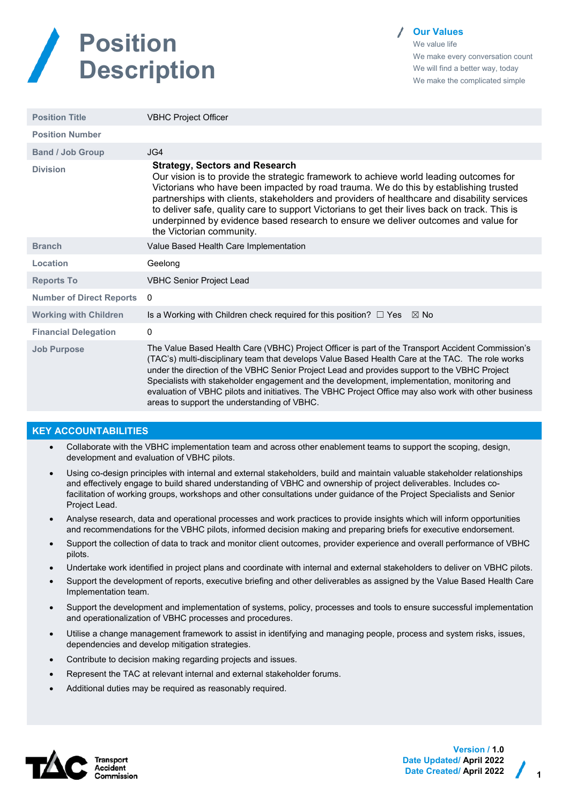

**Our Values**

We value life We make every conversation count We will find a better way, today We make the complicated simple

| <b>Position Title</b>           | <b>VBHC Project Officer</b>                                                                                                                                                                                                                                                                                                                                                                                                                                                                                                                                 |
|---------------------------------|-------------------------------------------------------------------------------------------------------------------------------------------------------------------------------------------------------------------------------------------------------------------------------------------------------------------------------------------------------------------------------------------------------------------------------------------------------------------------------------------------------------------------------------------------------------|
| <b>Position Number</b>          |                                                                                                                                                                                                                                                                                                                                                                                                                                                                                                                                                             |
| <b>Band / Job Group</b>         | JG4                                                                                                                                                                                                                                                                                                                                                                                                                                                                                                                                                         |
| <b>Division</b>                 | <b>Strategy, Sectors and Research</b><br>Our vision is to provide the strategic framework to achieve world leading outcomes for<br>Victorians who have been impacted by road trauma. We do this by establishing trusted<br>partnerships with clients, stakeholders and providers of healthcare and disability services<br>to deliver safe, quality care to support Victorians to get their lives back on track. This is<br>underpinned by evidence based research to ensure we deliver outcomes and value for<br>the Victorian community.                   |
| <b>Branch</b>                   | Value Based Health Care Implementation                                                                                                                                                                                                                                                                                                                                                                                                                                                                                                                      |
| Location                        | Geelong                                                                                                                                                                                                                                                                                                                                                                                                                                                                                                                                                     |
| <b>Reports To</b>               | <b>VBHC Senior Project Lead</b>                                                                                                                                                                                                                                                                                                                                                                                                                                                                                                                             |
| <b>Number of Direct Reports</b> | 0                                                                                                                                                                                                                                                                                                                                                                                                                                                                                                                                                           |
| <b>Working with Children</b>    | Is a Working with Children check required for this position? $\Box$ Yes $\boxtimes$ No                                                                                                                                                                                                                                                                                                                                                                                                                                                                      |
| <b>Financial Delegation</b>     | 0                                                                                                                                                                                                                                                                                                                                                                                                                                                                                                                                                           |
| <b>Job Purpose</b>              | The Value Based Health Care (VBHC) Project Officer is part of the Transport Accident Commission's<br>(TAC's) multi-disciplinary team that develops Value Based Health Care at the TAC. The role works<br>under the direction of the VBHC Senior Project Lead and provides support to the VBHC Project<br>Specialists with stakeholder engagement and the development, implementation, monitoring and<br>evaluation of VBHC pilots and initiatives. The VBHC Project Office may also work with other business<br>areas to support the understanding of VBHC. |
|                                 |                                                                                                                                                                                                                                                                                                                                                                                                                                                                                                                                                             |

## **KEY ACCOUNTABILITIES**

- Collaborate with the VBHC implementation team and across other enablement teams to support the scoping, design, development and evaluation of VBHC pilots.
- Using co-design principles with internal and external stakeholders, build and maintain valuable stakeholder relationships and effectively engage to build shared understanding of VBHC and ownership of project deliverables. Includes cofacilitation of working groups, workshops and other consultations under guidance of the Project Specialists and Senior Project Lead.
- Analyse research, data and operational processes and work practices to provide insights which will inform opportunities and recommendations for the VBHC pilots, informed decision making and preparing briefs for executive endorsement.
- Support the collection of data to track and monitor client outcomes, provider experience and overall performance of VBHC pilots.
- Undertake work identified in project plans and coordinate with internal and external stakeholders to deliver on VBHC pilots.
- Support the development of reports, executive briefing and other deliverables as assigned by the Value Based Health Care Implementation team.
- Support the development and implementation of systems, policy, processes and tools to ensure successful implementation and operationalization of VBHC processes and procedures.
- Utilise a change management framework to assist in identifying and managing people, process and system risks, issues, dependencies and develop mitigation strategies.
- Contribute to decision making regarding projects and issues.
- Represent the TAC at relevant internal and external stakeholder forums.
- Additional duties may be required as reasonably required.